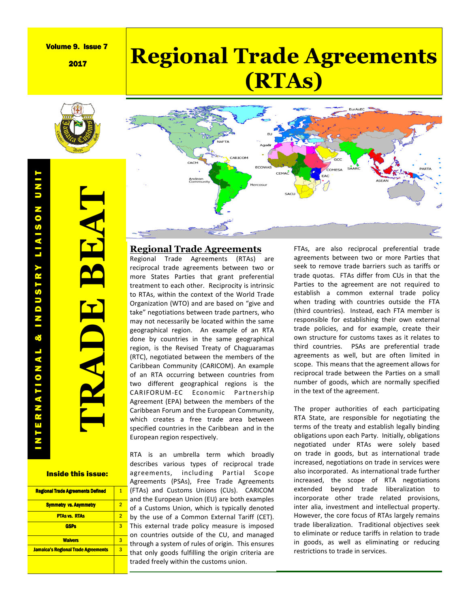#### Volume 9. Issue 7

2017

# **Regional Trade Agreements (RTAs)**



**TRADE BEAT**

#### Inside this issue:

| <b>Regional Trade Agreements Defined</b>   |   |
|--------------------------------------------|---|
| <b>Symmetry vs. Asymmetry</b>              | 2 |
| <b>PTAs vs. RTAs</b>                       | 2 |
| <b>GSPs</b>                                | з |
| <b>Waivers</b>                             | з |
| <b>Jamaica's Regional Trade Agreements</b> |   |
|                                            |   |



### **Regional Trade Agreements**

Regional Trade Agreements (RTAs) are reciprocal trade agreements between two or more States Parties that grant preferential treatment to each other. Reciprocity is intrinsic to RTAs, within the context of the World Trade Organization (WTO) and are based on "give and take" negotiations between trade partners, who may not necessarily be located within the same geographical region. An example of an RTA done by countries in the same geographical region, is the Revised Treaty of Chaguaramas (RTC), negotiated between the members of the Caribbean Community (CARICOM). An example of an RTA occurring between countries from two different geographical regions is the CARIFORUM-EC Economic Partnership Agreement (EPA) between the members of the Caribbean Forum and the European Community, which creates a free trade area between specified countries in the Caribbean and in the European region respectively.

RTA is an umbrella term which broadly describes various types of reciprocal trade agreements, including Partial Scope Agreements (PSAs), Free Trade Agreements (FTAs) and Customs Unions (CUs). CARICOM and the European Union (EU) are both examples of a Customs Union, which is typically denoted by the use of a Common External Tariff (CET). This external trade policy measure is imposed on countries outside of the CU, and managed through a system of rules of origin. This ensures that only goods fulfilling the origin criteria are traded freely within the customs union.

FTAs, are also reciprocal preferential trade agreements between two or more Parties that seek to remove trade barriers such as tariffs or trade quotas. FTAs differ from CUs in that the Parties to the agreement are not required to establish a common external trade policy when trading with countries outside the FTA (third countries). Instead, each FTA member is responsible for establishing their own external trade policies, and for example, create their own structure for customs taxes as it relates to third countries. PSAs are preferential trade agreements as well, but are often limited in scope. This means that the agreement allows for reciprocal trade between the Parties on a small number of goods, which are normally specified in the text of the agreement.

The proper authorities of each participating RTA State, are responsible for negotiating the terms of the treaty and establish legally binding obligations upon each Party. Initially, obligations negotiated under RTAs were solely based on trade in goods, but as international trade increased, negotiations on trade in services were also incorporated. As international trade further increased, the scope of RTA negotiations extended beyond trade liberalization to incorporate other trade related provisions, inter alia, investment and intellectual property. However, the core focus of RTAs largely remains trade liberalization. Traditional objectives seek to eliminate or reduce tariffs in relation to trade in goods, as well as eliminating or reducing restrictions to trade in services.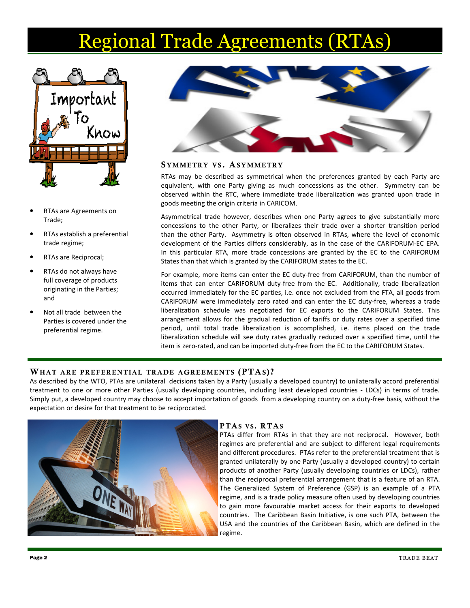## **Regional Trade Agreements (RT**



- RTAs are Agreements on Trade;
- RTAs establish a preferential trade regime;
- RTAs are Reciprocal;
- RTAs do not always have full coverage of products originating in the Parties; and
- Not all trade between the Parties is covered under the preferential regime.



#### **SYMME TRY VS. ASY MME TRY**

RTAs may be described as symmetrical when the preferences granted by each Party are equivalent, with one Party giving as much concessions as the other. Symmetry can be observed within the RTC, where immediate trade liberalization was granted upon trade in goods meeting the origin criteria in CARICOM.

Asymmetrical trade however, describes when one Party agrees to give substantially more concessions to the other Party, or liberalizes their trade over a shorter transition period than the other Party. Asymmetry is often observed in RTAs, where the level of economic development of the Parties differs considerably, as in the case of the CARIFORUM-EC EPA. In this particular RTA, more trade concessions are granted by the EC to the CARIFORUM States than that which is granted by the CARIFORUM states to the EC.

For example, more items can enter the EC duty-free from CARIFORUM, than the number of items that can enter CARIFORUM duty-free from the EC. Additionally, trade liberalization occurred immediately for the EC parties, i.e. once not excluded from the FTA, all goods from CARIFORUM were immediately zero rated and can enter the EC duty-free, whereas a trade liberalization schedule was negotiated for EC exports to the CARIFORUM States. This arrangement allows for the gradual reduction of tariffs or duty rates over a specified time period, until total trade liberalization is accomplished, i.e. items placed on the trade liberalization schedule will see duty rates gradually reduced over a specified time, until the item is zero-rated, and can be imported duty-free from the EC to the CARIFORUM States.

### **WHAT ARE PREFEREN TIAL TRADE AGREEMENTS (PTAS)?**

As described by the WTO, PTAs are unilateral decisions taken by a Party (usually a developed country) to unilaterally accord preferential treatment to one or more other Parties (usually developing countries, including least developed countries - LDCs) in terms of trade. Simply put, a developed country may choose to accept importation of goods from a developing country on a duty-free basis, without the expectation or desire for that treatment to be reciprocated.



#### **PTAS VS. RTAS**

PTAs differ from RTAs in that they are not reciprocal. However, both regimes are preferential and are subject to different legal requirements and different procedures. PTAs refer to the preferential treatment that is granted unilaterally by one Party (usually a developed country) to certain products of another Party (usually developing countries or LDCs), rather than the reciprocal preferential arrangement that is a feature of an RTA. The Generalized System of Preference (GSP) is an example of a PTA regime, and is a trade policy measure often used by developing countries to gain more favourable market access for their exports to developed countries. The Caribbean Basin Initiative, is one such PTA, between the USA and the countries of the Caribbean Basin, which are defined in the regime.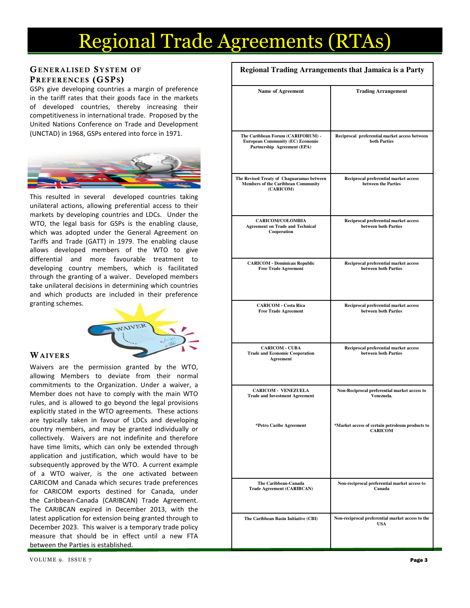## Regional Trade Agreements (RTAs)

### **GENERALISE D SYSTE M OF PREFERENCES (GSPS)**

GSPs give developing countries a margin of preference in the tariff rates that their goods face in the markets of developed countries, thereby increasing their competitiveness in international trade. Proposed by the United Nations Conference on Trade and Development (UNCTAD) in 1968, GSPs entered into force in 1971.



This resulted in several developed countries taking unilateral actions, allowing preferential access to their markets by developing countries and LDCs. Under the WTO, the legal basis for GSPs is the enabling clause, which was adopted under the General Agreement on Tariffs and Trade (GATT) in 1979. The enabling clause allows developed members of the WTO to give differential and more favourable treatment to developing country members, which is facilitated through the granting of a waiver. Developed members take unilateral decisions in determining which countries and which products are included in their preference granting schemes.



#### **WAIVERS**

Waivers are the permission granted by the WTO, allowing Members to deviate from their normal commitments to the Organization. Under a waiver, a Member does not have to comply with the main WTO rules, and is allowed to go beyond the legal provisions explicitly stated in the WTO agreements. These actions are typically taken in favour of LDCs and developing country members, and may be granted individually or collectively. Waivers are not indefinite and therefore have time limits, which can only be extended through application and justification, which would have to be subsequently approved by the WTO. A current example of a WTO waiver, is the one activated between CARICOM and Canada which secures trade preferences for CARICOM exports destined for Canada, under the Caribbean-Canada (CARIBCAN) Trade Agreement. The CARIBCAN expired in December 2013, with the latest application for extension being granted through to December 2023. This waiver is a temporary trade policy measure that should be in effect until a new FTA between the Parties is established.

| Name of Agreement                                                                                           | <b>Trading Arrangement</b>                                        |
|-------------------------------------------------------------------------------------------------------------|-------------------------------------------------------------------|
| The Caribbean Forum (CARIFORUM) -<br><b>European Community (EC) Economic</b><br>Partnership Agreement (EPA) | Reciprocal preferential market access between<br>both Parties     |
| The Revised Treaty of Chaguaramas between<br><b>Members of the Caribbean Community</b><br>(CARICOM)         | Reciprocal preferential market access<br>between the Parties      |
| <b>CARICOM/COLOMBIA</b><br><b>Agreement on Trade and Technical</b><br>Cooperation                           | Reciprocal preferential market access<br>between both Parties     |
| <b>CARICOM - Dominican Republic</b><br><b>Free Trade Agreement</b>                                          | Reciprocal preferential market access<br>between both Parties     |
| <b>CARICOM - Costa Rica</b><br><b>Free Trade Agreement</b>                                                  | Reciprocal preferential market access<br>between both Parties     |
| <b>CARICOM - CUBA</b><br><b>Trade and Economic Cooperation</b><br>Agreement                                 | Reciprocal preferential market access<br>between both Parties     |
| <b>CARICOM - VENEZUELA</b><br><b>Trade and Investment Agreement</b>                                         | Non-Reciprocal preferential market access to<br>Venezuela.        |
| *Petro Caribe Agreement                                                                                     | *Market access of certain petroleum products to<br><b>CARICOM</b> |
| The Caribbean-Canada<br>Trade Agreement (CARIBCAN)                                                          | Non-reciprocal preferential market access to<br>Canada            |
| The Caribbean Basin Initiative (CBI)                                                                        | Non-reciprocal preferential market access to the<br>USA           |

**Regional Trading Arrangements that Jamaica is a Party**